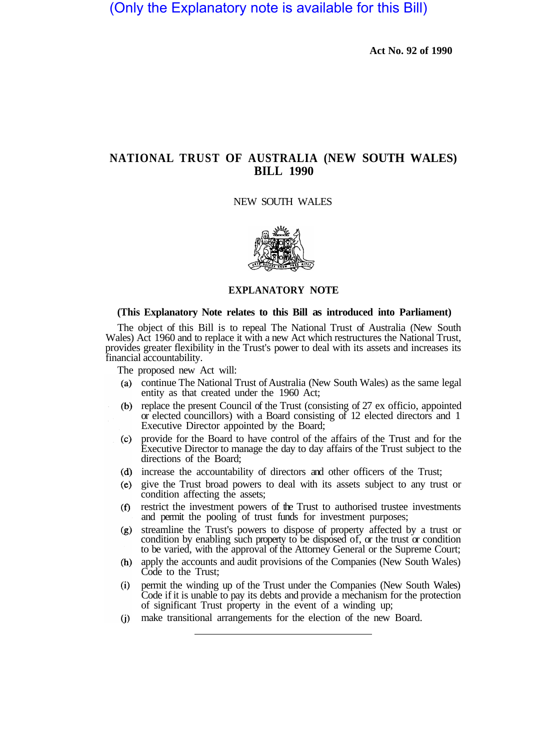# **NATIONAL TRUST OF AUSTRALIA (NEW SOUTH WALES) BILL 1990**

#### NEW SOUTH WALES



## **EXPLANATORY NOTE**

#### **(This Explanatory Note relates to this Bill as introduced into Parliament)**

The object of this Bill is to repeal The National Trust of Australia (New South Wales) Act 1960 and to replace it with a new Act which restructures the National Trust, provides greater flexibility in the Trust's power to deal with its assets and increases its financial accountability.

The proposed new Act will:

- continue The National Trust of Australia (New South Wales) as the same legal entity as that created under the 1960 Act;
- (b) replace the present Council of the Trust (consisting of  $27 \text{ ex}$  officio, appointed or elected councillors) with a Board consisting of 12 elected directors and 1 Executive Director appointed by the Board;
- provide for the Board to have control of the affairs of the Trust and for the  $(c)$ Executive Director to manage the day to day affairs of the Trust subject to the directions of the Board;
- (d) increase the accountability of directors and other officers of the Trust;
- give the Trust broad powers to deal with its assets subject to any trust or condition affecting the assets;
- restrict the investment powers of the Trust to authorised trustee investments  $(f)$ and permit the pooling of trust funds for investment purposes;
- streamline the Trust's powers to dispose of property affected by a trust or  $(g)$ condition by enabling such property to be disposed of, or the trust or condition to be varied, with the approval of the Attorney General or the Supreme Court;
- apply the accounts and audit provisions of the Companies (New South Wales) Code to the Trust;
- permit the winding up of the Trust under the Companies (New South Wales)  $(i)$ Code if it is unable to pay its debts and provide a mechanism for the protection of significant Trust property in the event of a winding up;
- make transitional arrangements for the election of the new Board.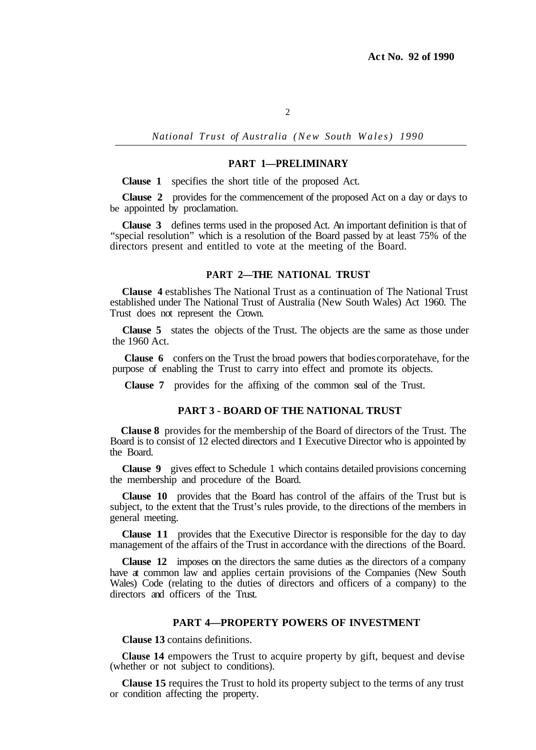*National Trust of Australia (New South Wales) 1990* 

### **PART 1—PRELIMINARY**

**Clause 1** specifies the short title of the proposed Act.

**Clause 2** provides for the commencement of the proposed Act on a day or days to be appointed by proclamation.

**Clause 3** defines terms used in the proposed Act. An important definition is that of "special resolution" which is a resolution of the Board passed by at least 75% of the directors present and entitled to vote at the meeting of the Board.

### **PART 2—THE NATIONAL TRUST**

**Clause 4** establishes The National Trust as a continuation of The National Trust established under The National Trust of Australia (New South Wales) Act 1960. The Trust does not represent the Crown.

**Clause 5** states the objects of the Trust. The objects are the same as those under the 1960 Act.

**Clause 6** confers on the Trust the broad powers that bodies corporate have, for the purpose of enabling the Trust to carry into effect and promote its objects.

**Clause 7** provides for the affixing of the common seal of the Trust.

#### **PART 3 - BOARD OF THE NATIONAL TRUST**

**Clause 8** provides for the membership of the Board of directors of the Trust. The Board is to consist of 12 elected directors and **1** Executive Director who is appointed by the Board.

**Clause 9** gives effect to Schedule 1 which contains detailed provisions concerning the membership and procedure of the Board.

**Clause 10** provides that the Board has control of the affairs of the Trust but is subject, to the extent that the Trust's rules provide, to the directions of the members in general meeting.

**Clause 11** provides that the Executive Director is responsible for the day to day management of the affairs of the Trust in accordance with the directions of the Board.

**Clause 12** imposes on the directors the same duties as the directors of a company have at common law and applies certain provisions of the Companies (New South Wales) Code (relating to the duties of directors and officers of a company) to the directors and officers of the Trust.

### **PART 4—PROPERTY POWERS OF INVESTMENT**

**Clause 13** contains definitions.

**Clause 14** empowers the Trust to acquire property by gift, bequest and devise (whether or not subject to conditions).

**Clause 15** requires the Trust to hold its property subject to the terms of any trust or condition affecting the property.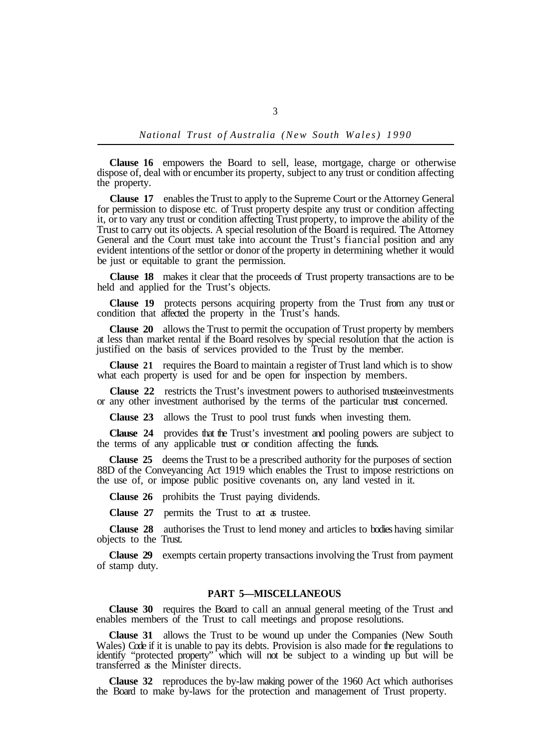**Clause 16** empowers the Board to sell, lease, mortgage, charge or otherwise dispose of, deal with or encumber its property, subject to any trust or condition affecting the property.

**Clause 17** enables the Trust to apply to the Supreme Court or the Attorney General for permission to dispose etc. of Trust property despite any trust or condition affecting it, or to vary any trust or condition affecting Trust property, to improve the ability of the Trust to carry out its objects. A special resolution of the Board is required. The Attorney General and the Court must take into account the Trust's fiancial position and any evident intentions of the settlor or donor of the property in determining whether it would be just or equitable to grant the permission.

**Clause 18** makes it clear that the proceeds of Trust property transactions are to be held and applied for the Trust's objects.

**Clause 19** protects persons acquiring property from the Trust from any trust or condition that affected the property in the Trust's hands.

**Clause 20** allows the Trust to permit the occupation of Trust property by members at less than market rental if the Board resolves by special resolution that the action is justified on the basis of services provided to the Trust by the member.

**Clause 21** requires the Board to maintain a register of Trust land which is to show what each property is used for and be open for inspection by members.

**Clause 22** restricts the Trust's investment powers to authorised trusteeinvestments or any other investment authorised by the terms of the particular trust concerned.

**Clause 23** allows the Trust to pool trust funds when investing them.

**Clause 24** provides that the Trust's investment and pooling powers are subject to the terms of any applicable trust or condition affecting the funds.

**Clause 25** deems the Trust to be a prescribed authority for the purposes of section 88D of the Conveyancing Act 1919 which enables the Trust to impose restrictions on the use of, or impose public positive covenants on, any land vested in it.

**Clause 26** prohibits the Trust paying dividends.

**Clause 27** permits the Trust to act as trustee.

**Clause 28** authorises the Trust to lend money and articles to bodies having similar objects to the Trust.

**Clause 29** exempts certain property transactions involving the Trust from payment of stamp duty.

## **PART 5—MISCELLANEOUS**

**Clause 30** requires the Board to call an annual general meeting of the Trust and enables members of the Trust to call meetings and propose resolutions.

**Clause 31** allows the Trust to be wound up under the Companies (New South Wales) Code if it is unable to pay its debts. Provision is also made for the regulations to identify "protected property" which will not be subject to a winding up but will be transferred as the Minister directs.

**Clause 32** reproduces the by-law making power of the 1960 Act which authorises the Board to make by-laws for the protection and management of Trust property.